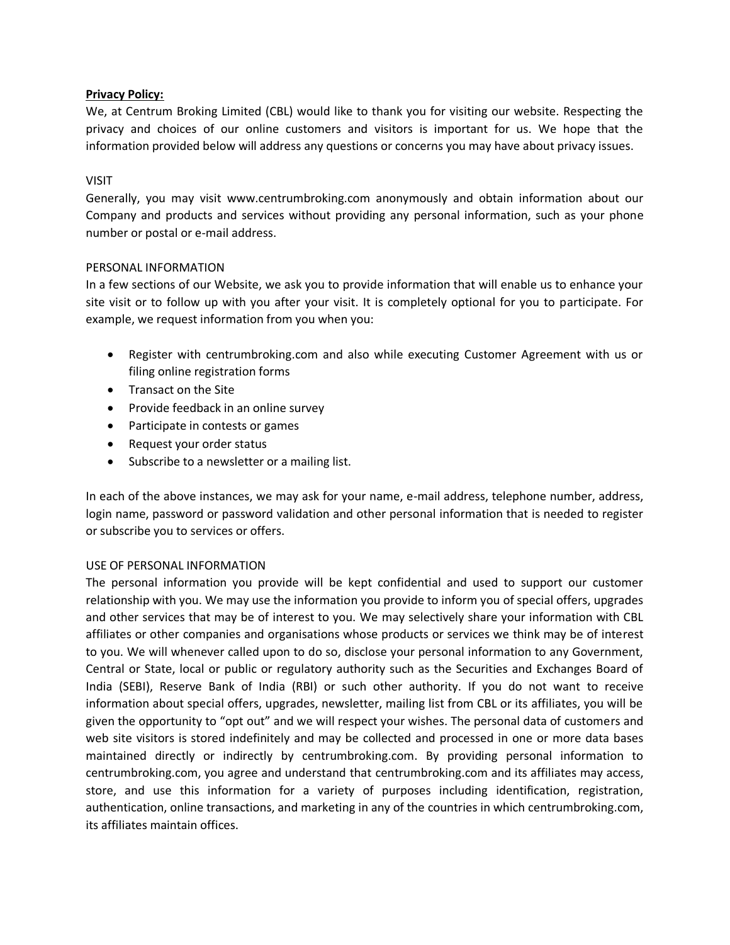# **Privacy Policy:**

We, at Centrum Broking Limited (CBL) would like to thank you for visiting our website. Respecting the privacy and choices of our online customers and visitors is important for us. We hope that the information provided below will address any questions or concerns you may have about privacy issues.

# VISIT

Generally, you may visit www.centrumbroking.com anonymously and obtain information about our Company and products and services without providing any personal information, such as your phone number or postal or e-mail address.

# PERSONAL INFORMATION

In a few sections of our Website, we ask you to provide information that will enable us to enhance your site visit or to follow up with you after your visit. It is completely optional for you to participate. For example, we request information from you when you:

- Register with centrumbroking.com and also while executing Customer Agreement with us or filing online registration forms
- Transact on the Site
- Provide feedback in an online survey
- Participate in contests or games
- Request your order status
- Subscribe to a newsletter or a mailing list.

In each of the above instances, we may ask for your name, e-mail address, telephone number, address, login name, password or password validation and other personal information that is needed to register or subscribe you to services or offers.

# USE OF PERSONAL INFORMATION

The personal information you provide will be kept confidential and used to support our customer relationship with you. We may use the information you provide to inform you of special offers, upgrades and other services that may be of interest to you. We may selectively share your information with CBL affiliates or other companies and organisations whose products or services we think may be of interest to you. We will whenever called upon to do so, disclose your personal information to any Government, Central or State, local or public or regulatory authority such as the Securities and Exchanges Board of India (SEBI), Reserve Bank of India (RBI) or such other authority. If you do not want to receive information about special offers, upgrades, newsletter, mailing list from CBL or its affiliates, you will be given the opportunity to "opt out" and we will respect your wishes. The personal data of customers and web site visitors is stored indefinitely and may be collected and processed in one or more data bases maintained directly or indirectly by centrumbroking.com. By providing personal information to centrumbroking.com, you agree and understand that centrumbroking.com and its affiliates may access, store, and use this information for a variety of purposes including identification, registration, authentication, online transactions, and marketing in any of the countries in which centrumbroking.com, its affiliates maintain offices.